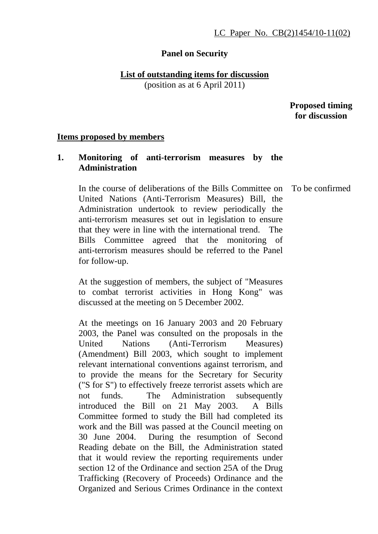### **Panel on Security**

# **List of outstanding items for discussion**

(position as at 6 April 2011)

 **Proposed timing for discussion** 

### **Items proposed by members**

# **1. Monitoring of anti-terrorism measures by the Administration**

 In the course of deliberations of the Bills Committee on United Nations (Anti-Terrorism Measures) Bill, the Administration undertook to review periodically the anti-terrorism measures set out in legislation to ensure that they were in line with the international trend. The Bills Committee agreed that the monitoring of anti-terrorism measures should be referred to the Panel for follow-up.

At the suggestion of members, the subject of "Measures to combat terrorist activities in Hong Kong" was discussed at the meeting on 5 December 2002.

At the meetings on 16 January 2003 and 20 February 2003, the Panel was consulted on the proposals in the United Nations (Anti-Terrorism Measures) (Amendment) Bill 2003, which sought to implement relevant international conventions against terrorism, and to provide the means for the Secretary for Security ("S for S") to effectively freeze terrorist assets which are not funds. The Administration subsequently introduced the Bill on 21 May 2003. A Bills Committee formed to study the Bill had completed its work and the Bill was passed at the Council meeting on 30 June 2004. During the resumption of Second Reading debate on the Bill, the Administration stated that it would review the reporting requirements under section 12 of the Ordinance and section 25A of the Drug Trafficking (Recovery of Proceeds) Ordinance and the Organized and Serious Crimes Ordinance in the context

To be confirmed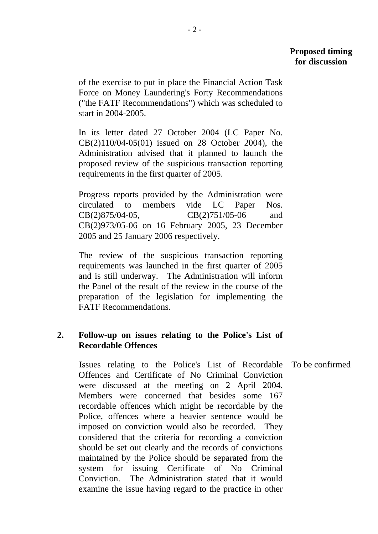of the exercise to put in place the Financial Action Task Force on Money Laundering's Forty Recommendations ("the FATF Recommendations") which was scheduled to start in 2004-2005.

In its letter dated 27 October 2004 (LC Paper No. CB(2)110/04-05(01) issued on 28 October 2004), the Administration advised that it planned to launch the proposed review of the suspicious transaction reporting requirements in the first quarter of 2005.

Progress reports provided by the Administration were circulated to members vide LC Paper Nos. CB(2)875/04-05, CB(2)751/05-06 and CB(2)973/05-06 on 16 February 2005, 23 December 2005 and 25 January 2006 respectively.

The review of the suspicious transaction reporting requirements was launched in the first quarter of 2005 and is still underway. The Administration will inform the Panel of the result of the review in the course of the preparation of the legislation for implementing the FATF Recommendations.

## **2. Follow-up on issues relating to the Police's List of Recordable Offences**

Issues relating to the Police's List of Recordable Offences and Certificate of No Criminal Conviction were discussed at the meeting on 2 April 2004. Members were concerned that besides some 167 recordable offences which might be recordable by the Police, offences where a heavier sentence would be imposed on conviction would also be recorded. They considered that the criteria for recording a conviction should be set out clearly and the records of convictions maintained by the Police should be separated from the system for issuing Certificate of No Criminal Conviction. The Administration stated that it would examine the issue having regard to the practice in other To be confirmed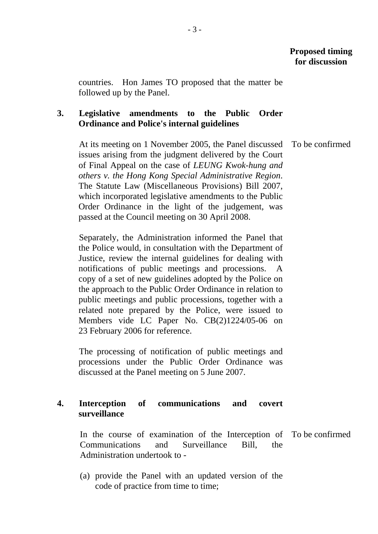countries. Hon James TO proposed that the matter be followed up by the Panel.

# **3. Legislative amendments to the Public Order Ordinance and Police's internal guidelines**

At its meeting on 1 November 2005, the Panel discussed issues arising from the judgment delivered by the Court of Final Appeal on the case of *LEUNG Kwok-hung and others v. the Hong Kong Special Administrative Region*. The Statute Law (Miscellaneous Provisions) Bill 2007, which incorporated legislative amendments to the Public Order Ordinance in the light of the judgement, was passed at the Council meeting on 30 April 2008. To be confirmed

Separately, the Administration informed the Panel that the Police would, in consultation with the Department of Justice, review the internal guidelines for dealing with notifications of public meetings and processions. A copy of a set of new guidelines adopted by the Police on the approach to the Public Order Ordinance in relation to public meetings and public processions, together with a related note prepared by the Police, were issued to Members vide LC Paper No. CB(2)1224/05-06 on 23 February 2006 for reference.

The processing of notification of public meetings and processions under the Public Order Ordinance was discussed at the Panel meeting on 5 June 2007.

## **4. Interception of communications and covert surveillance**

In the course of examination of the Interception of To be confirmedCommunications and Surveillance Bill, the Administration undertook to -

(a) provide the Panel with an updated version of the code of practice from time to time;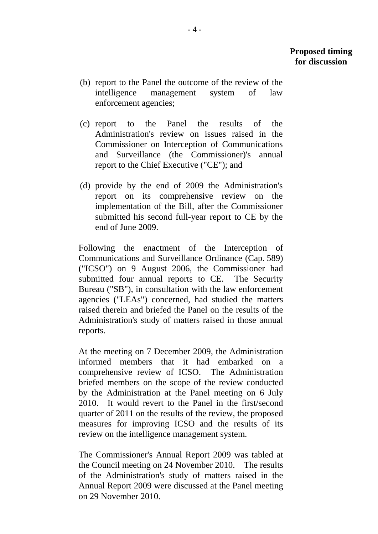- (b) report to the Panel the outcome of the review of the intelligence management system of law enforcement agencies;
- (c) report to the Panel the results of the Administration's review on issues raised in the Commissioner on Interception of Communications and Surveillance (the Commissioner)'s annual report to the Chief Executive ("CE"); and
- (d) provide by the end of 2009 the Administration's report on its comprehensive review on the implementation of the Bill, after the Commissioner submitted his second full-year report to CE by the end of June 2009.

Following the enactment of the Interception of Communications and Surveillance Ordinance (Cap. 589) ("ICSO") on 9 August 2006, the Commissioner had submitted four annual reports to CE. The Security Bureau ("SB"), in consultation with the law enforcement agencies ("LEAs") concerned, had studied the matters raised therein and briefed the Panel on the results of the Administration's study of matters raised in those annual reports.

At the meeting on 7 December 2009, the Administration informed members that it had embarked on a comprehensive review of ICSO. The Administration briefed members on the scope of the review conducted by the Administration at the Panel meeting on 6 July 2010. It would revert to the Panel in the first/second quarter of 2011 on the results of the review, the proposed measures for improving ICSO and the results of its review on the intelligence management system.

The Commissioner's Annual Report 2009 was tabled at the Council meeting on 24 November 2010. The results of the Administration's study of matters raised in the Annual Report 2009 were discussed at the Panel meeting on 29 November 2010.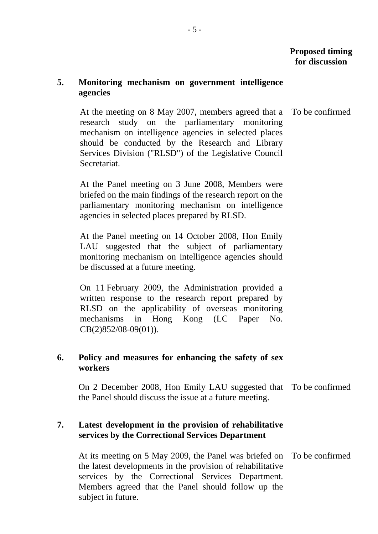# **5. Monitoring mechanism on government intelligence agencies**

At the meeting on 8 May 2007, members agreed that a research study on the parliamentary monitoring mechanism on intelligence agencies in selected places should be conducted by the Research and Library Services Division ("RLSD") of the Legislative Council Secretariat. To be confirmed

At the Panel meeting on 3 June 2008, Members were briefed on the main findings of the research report on the parliamentary monitoring mechanism on intelligence agencies in selected places prepared by RLSD.

At the Panel meeting on 14 October 2008, Hon Emily LAU suggested that the subject of parliamentary monitoring mechanism on intelligence agencies should be discussed at a future meeting.

On 11 February 2009, the Administration provided a written response to the research report prepared by RLSD on the applicability of overseas monitoring mechanisms in Hong Kong (LC Paper No. CB(2)852/08-09(01)).

## **6. Policy and measures for enhancing the safety of sex workers**

On 2 December 2008, Hon Emily LAU suggested that To be confirmed the Panel should discuss the issue at a future meeting.

## **7. Latest development in the provision of rehabilitative services by the Correctional Services Department**

At its meeting on 5 May 2009, the Panel was briefed on To be confirmedthe latest developments in the provision of rehabilitative services by the Correctional Services Department. Members agreed that the Panel should follow up the subject in future.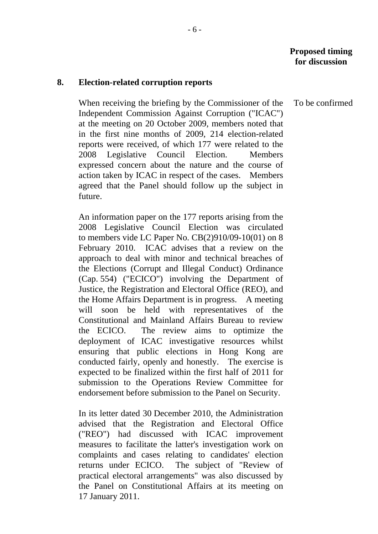#### **8. Election-related corruption reports**

When receiving the briefing by the Commissioner of the Independent Commission Against Corruption ("ICAC") at the meeting on 20 October 2009, members noted that in the first nine months of 2009, 214 election-related reports were received, of which 177 were related to the 2008 Legislative Council Election. Members expressed concern about the nature and the course of action taken by ICAC in respect of the cases. Members agreed that the Panel should follow up the subject in future.

An information paper on the 177 reports arising from the 2008 Legislative Council Election was circulated to members vide LC Paper No. CB(2)910/09-10(01) on 8 February 2010. ICAC advises that a review on the approach to deal with minor and technical breaches of the Elections (Corrupt and Illegal Conduct) Ordinance (Cap. 554) ("ECICO") involving the Department of Justice, the Registration and Electoral Office (REO), and the Home Affairs Department is in progress. A meeting will soon be held with representatives of the Constitutional and Mainland Affairs Bureau to review the ECICO. The review aims to optimize the deployment of ICAC investigative resources whilst ensuring that public elections in Hong Kong are conducted fairly, openly and honestly. The exercise is expected to be finalized within the first half of 2011 for submission to the Operations Review Committee for endorsement before submission to the Panel on Security.

In its letter dated 30 December 2010, the Administration advised that the Registration and Electoral Office ("REO") had discussed with ICAC improvement measures to facilitate the latter's investigation work on complaints and cases relating to candidates' election returns under ECICO. The subject of "Review of practical electoral arrangements" was also discussed by the Panel on Constitutional Affairs at its meeting on 17 January 2011.

To be confirmed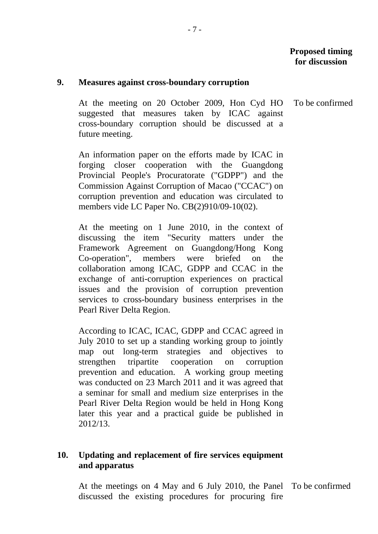To be confirmed

#### **9. Measures against cross-boundary corruption**

At the meeting on 20 October 2009, Hon Cyd HO suggested that measures taken by ICAC against cross-boundary corruption should be discussed at a future meeting.

An information paper on the efforts made by ICAC in forging closer cooperation with the Guangdong Provincial People's Procuratorate ("GDPP") and the Commission Against Corruption of Macao ("CCAC") on corruption prevention and education was circulated to members vide LC Paper No. CB(2)910/09-10(02).

At the meeting on 1 June 2010, in the context of discussing the item "Security matters under the Framework Agreement on Guangdong/Hong Kong Co-operation", members were briefed on the collaboration among ICAC, GDPP and CCAC in the exchange of anti-corruption experiences on practical issues and the provision of corruption prevention services to cross-boundary business enterprises in the Pearl River Delta Region.

According to ICAC, ICAC, GDPP and CCAC agreed in July 2010 to set up a standing working group to jointly map out long-term strategies and objectives to strengthen tripartite cooperation on corruption prevention and education. A working group meeting was conducted on 23 March 2011 and it was agreed that a seminar for small and medium size enterprises in the Pearl River Delta Region would be held in Hong Kong later this year and a practical guide be published in 2012/13.

## **10. Updating and replacement of fire services equipment and apparatus**

At the meetings on 4 May and 6 July 2010, the Panel To be confirmeddiscussed the existing procedures for procuring fire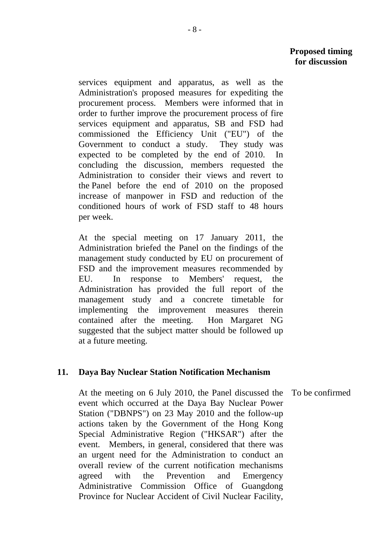services equipment and apparatus, as well as the Administration's proposed measures for expediting the procurement process. Members were informed that in order to further improve the procurement process of fire services equipment and apparatus, SB and FSD had commissioned the Efficiency Unit ("EU") of the Government to conduct a study. They study was expected to be completed by the end of 2010. In concluding the discussion, members requested the Administration to consider their views and revert to the Panel before the end of 2010 on the proposed increase of manpower in FSD and reduction of the conditioned hours of work of FSD staff to 48 hours per week.

At the special meeting on 17 January 2011, the Administration briefed the Panel on the findings of the management study conducted by EU on procurement of FSD and the improvement measures recommended by EU. In response to Members' request, the Administration has provided the full report of the management study and a concrete timetable for implementing the improvement measures therein contained after the meeting. Hon Margaret NG suggested that the subject matter should be followed up at a future meeting.

### **11. Daya Bay Nuclear Station Notification Mechanism**

At the meeting on 6 July 2010, the Panel discussed the event which occurred at the Daya Bay Nuclear Power Station ("DBNPS") on 23 May 2010 and the follow-up actions taken by the Government of the Hong Kong Special Administrative Region ("HKSAR") after the event. Members, in general, considered that there was an urgent need for the Administration to conduct an overall review of the current notification mechanisms agreed with the Prevention and Emergency Administrative Commission Office of Guangdong Province for Nuclear Accident of Civil Nuclear Facility, To be confirmed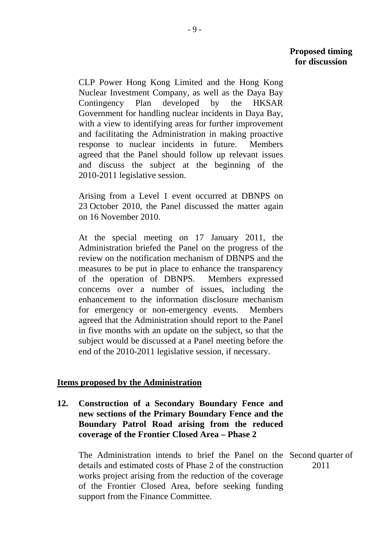CLP Power Hong Kong Limited and the Hong Kong Nuclear Investment Company, as well as the Daya Bay Contingency Plan developed by the HKSAR Government for handling nuclear incidents in Daya Bay, with a view to identifying areas for further improvement and facilitating the Administration in making proactive response to nuclear incidents in future. Members agreed that the Panel should follow up relevant issues and discuss the subject at the beginning of the 2010-2011 legislative session.

Arising from a Level 1 event occurred at DBNPS on 23 October 2010, the Panel discussed the matter again on 16 November 2010.

At the special meeting on 17 January 2011, the Administration briefed the Panel on the progress of the review on the notification mechanism of DBNPS and the measures to be put in place to enhance the transparency of the operation of DBNPS. Members expressed concerns over a number of issues, including the enhancement to the information disclosure mechanism for emergency or non-emergency events. Members agreed that the Administration should report to the Panel in five months with an update on the subject, so that the subject would be discussed at a Panel meeting before the end of the 2010-2011 legislative session, if necessary.

### **Items proposed by the Administration**

**12. Construction of a Secondary Boundary Fence and new sections of the Primary Boundary Fence and the Boundary Patrol Road arising from the reduced coverage of the Frontier Closed Area – Phase 2** 

 The Administration intends to brief the Panel on the Second quarter of details and estimated costs of Phase 2 of the construction works project arising from the reduction of the coverage of the Frontier Closed Area, before seeking funding support from the Finance Committee. 2011